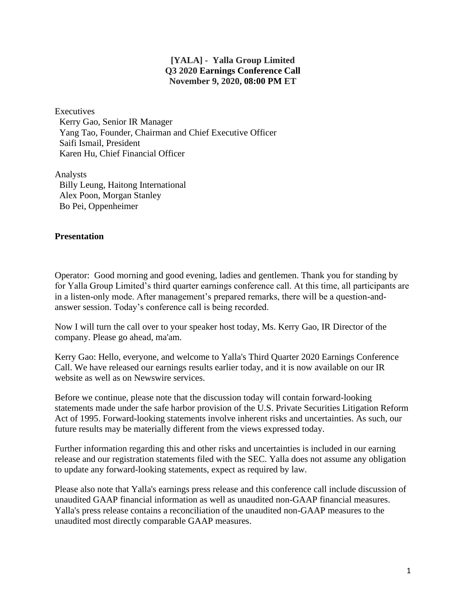## **[YALA] - Yalla Group Limited Q3 2020 Earnings Conference Call November 9, 2020, 08:00 PM ET**

**Executives** 

 Kerry Gao, Senior IR Manager Yang Tao, Founder, Chairman and Chief Executive Officer Saifi Ismail, President Karen Hu, Chief Financial Officer

Analysts Billy Leung, Haitong International Alex Poon, Morgan Stanley Bo Pei, Oppenheimer

## **Presentation**

Operator: Good morning and good evening, ladies and gentlemen. Thank you for standing by for Yalla Group Limited's third quarter earnings conference call. At this time, all participants are in a listen-only mode. After management's prepared remarks, there will be a question-andanswer session. Today's conference call is being recorded.

Now I will turn the call over to your speaker host today, Ms. Kerry Gao, IR Director of the company. Please go ahead, ma'am.

Kerry Gao: Hello, everyone, and welcome to Yalla's Third Quarter 2020 Earnings Conference Call. We have released our earnings results earlier today, and it is now available on our IR website as well as on Newswire services.

Before we continue, please note that the discussion today will contain forward-looking statements made under the safe harbor provision of the U.S. Private Securities Litigation Reform Act of 1995. Forward-looking statements involve inherent risks and uncertainties. As such, our future results may be materially different from the views expressed today.

Further information regarding this and other risks and uncertainties is included in our earning release and our registration statements filed with the SEC. Yalla does not assume any obligation to update any forward-looking statements, expect as required by law.

Please also note that Yalla's earnings press release and this conference call include discussion of unaudited GAAP financial information as well as unaudited non-GAAP financial measures. Yalla's press release contains a reconciliation of the unaudited non-GAAP measures to the unaudited most directly comparable GAAP measures.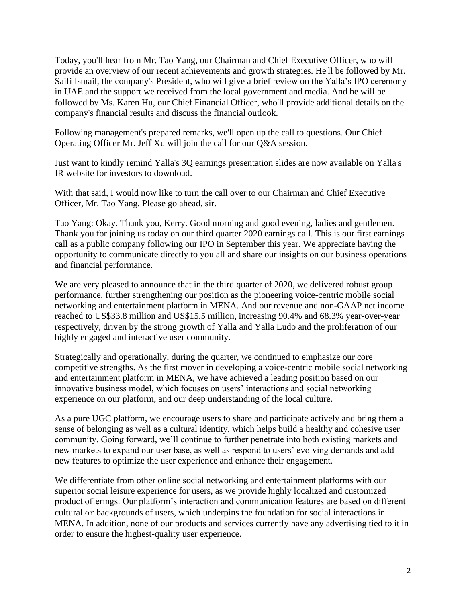Today, you'll hear from Mr. Tao Yang, our Chairman and Chief Executive Officer, who will provide an overview of our recent achievements and growth strategies. He'll be followed by Mr. Saifi Ismail, the company's President, who will give a brief review on the Yalla's IPO ceremony in UAE and the support we received from the local government and media. And he will be followed by Ms. Karen Hu, our Chief Financial Officer, who'll provide additional details on the company's financial results and discuss the financial outlook.

Following management's prepared remarks, we'll open up the call to questions. Our Chief Operating Officer Mr. Jeff Xu will join the call for our Q&A session.

Just want to kindly remind Yalla's 3Q earnings presentation slides are now available on Yalla's IR website for investors to download.

With that said, I would now like to turn the call over to our Chairman and Chief Executive Officer, Mr. Tao Yang. Please go ahead, sir.

Tao Yang: Okay. Thank you, Kerry. Good morning and good evening, ladies and gentlemen. Thank you for joining us today on our third quarter 2020 earnings call. This is our first earnings call as a public company following our IPO in September this year. We appreciate having the opportunity to communicate directly to you all and share our insights on our business operations and financial performance.

We are very pleased to announce that in the third quarter of 2020, we delivered robust group performance, further strengthening our position as the pioneering voice-centric mobile social networking and entertainment platform in MENA. And our revenue and non-GAAP net income reached to US\$33.8 million and US\$15.5 million, increasing 90.4% and 68.3% year-over-year respectively, driven by the strong growth of Yalla and Yalla Ludo and the proliferation of our highly engaged and interactive user community.

Strategically and operationally, during the quarter, we continued to emphasize our core competitive strengths. As the first mover in developing a voice-centric mobile social networking and entertainment platform in MENA, we have achieved a leading position based on our innovative business model, which focuses on users' interactions and social networking experience on our platform, and our deep understanding of the local culture.

As a pure UGC platform, we encourage users to share and participate actively and bring them a sense of belonging as well as a cultural identity, which helps build a healthy and cohesive user community. Going forward, we'll continue to further penetrate into both existing markets and new markets to expand our user base, as well as respond to users' evolving demands and add new features to optimize the user experience and enhance their engagement.

We differentiate from other online social networking and entertainment platforms with our superior social leisure experience for users, as we provide highly localized and customized product offerings. Our platform's interaction and communication features are based on different cultural or backgrounds of users, which underpins the foundation for social interactions in MENA. In addition, none of our products and services currently have any advertising tied to it in order to ensure the highest-quality user experience.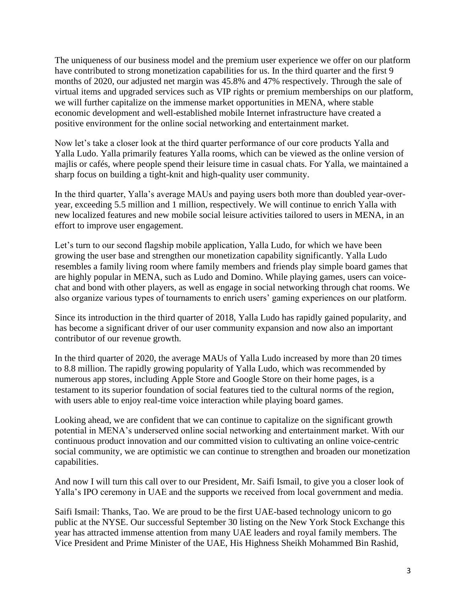The uniqueness of our business model and the premium user experience we offer on our platform have contributed to strong monetization capabilities for us. In the third quarter and the first 9 months of 2020, our adjusted net margin was 45.8% and 47% respectively. Through the sale of virtual items and upgraded services such as VIP rights or premium memberships on our platform, we will further capitalize on the immense market opportunities in MENA, where stable economic development and well-established mobile Internet infrastructure have created a positive environment for the online social networking and entertainment market.

Now let's take a closer look at the third quarter performance of our core products Yalla and Yalla Ludo. Yalla primarily features Yalla rooms, which can be viewed as the online version of majlis or cafés, where people spend their leisure time in casual chats. For Yalla, we maintained a sharp focus on building a tight-knit and high-quality user community.

In the third quarter, Yalla's average MAUs and paying users both more than doubled year-overyear, exceeding 5.5 million and 1 million, respectively. We will continue to enrich Yalla with new localized features and new mobile social leisure activities tailored to users in MENA, in an effort to improve user engagement.

Let's turn to our second flagship mobile application, Yalla Ludo, for which we have been growing the user base and strengthen our monetization capability significantly. Yalla Ludo resembles a family living room where family members and friends play simple board games that are highly popular in MENA, such as Ludo and Domino. While playing games, users can voicechat and bond with other players, as well as engage in social networking through chat rooms. We also organize various types of tournaments to enrich users' gaming experiences on our platform.

Since its introduction in the third quarter of 2018, Yalla Ludo has rapidly gained popularity, and has become a significant driver of our user community expansion and now also an important contributor of our revenue growth.

In the third quarter of 2020, the average MAUs of Yalla Ludo increased by more than 20 times to 8.8 million. The rapidly growing popularity of Yalla Ludo, which was recommended by numerous app stores, including Apple Store and Google Store on their home pages, is a testament to its superior foundation of social features tied to the cultural norms of the region, with users able to enjoy real-time voice interaction while playing board games.

Looking ahead, we are confident that we can continue to capitalize on the significant growth potential in MENA's underserved online social networking and entertainment market. With our continuous product innovation and our committed vision to cultivating an online voice-centric social community, we are optimistic we can continue to strengthen and broaden our monetization capabilities.

And now I will turn this call over to our President, Mr. Saifi Ismail, to give you a closer look of Yalla's IPO ceremony in UAE and the supports we received from local government and media.

Saifi Ismail: Thanks, Tao. We are proud to be the first UAE-based technology unicorn to go public at the NYSE. Our successful September 30 listing on the New York Stock Exchange this year has attracted immense attention from many UAE leaders and royal family members. The Vice President and Prime Minister of the UAE, His Highness Sheikh Mohammed Bin Rashid,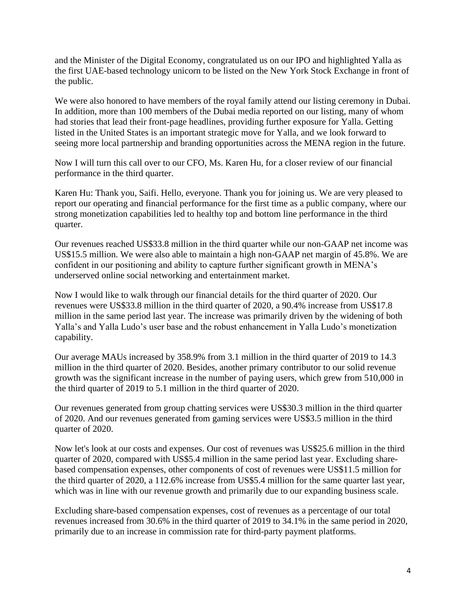and the Minister of the Digital Economy, congratulated us on our IPO and highlighted Yalla as the first UAE-based technology unicorn to be listed on the New York Stock Exchange in front of the public.

We were also honored to have members of the royal family attend our listing ceremony in Dubai. In addition, more than 100 members of the Dubai media reported on our listing, many of whom had stories that lead their front-page headlines, providing further exposure for Yalla. Getting listed in the United States is an important strategic move for Yalla, and we look forward to seeing more local partnership and branding opportunities across the MENA region in the future.

Now I will turn this call over to our CFO, Ms. Karen Hu, for a closer review of our financial performance in the third quarter.

Karen Hu: Thank you, Saifi. Hello, everyone. Thank you for joining us. We are very pleased to report our operating and financial performance for the first time as a public company, where our strong monetization capabilities led to healthy top and bottom line performance in the third quarter.

Our revenues reached US\$33.8 million in the third quarter while our non-GAAP net income was US\$15.5 million. We were also able to maintain a high non-GAAP net margin of 45.8%. We are confident in our positioning and ability to capture further significant growth in MENA's underserved online social networking and entertainment market.

Now I would like to walk through our financial details for the third quarter of 2020. Our revenues were US\$33.8 million in the third quarter of 2020, a 90.4% increase from US\$17.8 million in the same period last year. The increase was primarily driven by the widening of both Yalla's and Yalla Ludo's user base and the robust enhancement in Yalla Ludo's monetization capability.

Our average MAUs increased by 358.9% from 3.1 million in the third quarter of 2019 to 14.3 million in the third quarter of 2020. Besides, another primary contributor to our solid revenue growth was the significant increase in the number of paying users, which grew from 510,000 in the third quarter of 2019 to 5.1 million in the third quarter of 2020.

Our revenues generated from group chatting services were US\$30.3 million in the third quarter of 2020. And our revenues generated from gaming services were US\$3.5 million in the third quarter of 2020.

Now let's look at our costs and expenses. Our cost of revenues was US\$25.6 million in the third quarter of 2020, compared with US\$5.4 million in the same period last year. Excluding sharebased compensation expenses, other components of cost of revenues were US\$11.5 million for the third quarter of 2020, a 112.6% increase from US\$5.4 million for the same quarter last year, which was in line with our revenue growth and primarily due to our expanding business scale.

Excluding share-based compensation expenses, cost of revenues as a percentage of our total revenues increased from 30.6% in the third quarter of 2019 to 34.1% in the same period in 2020, primarily due to an increase in commission rate for third-party payment platforms.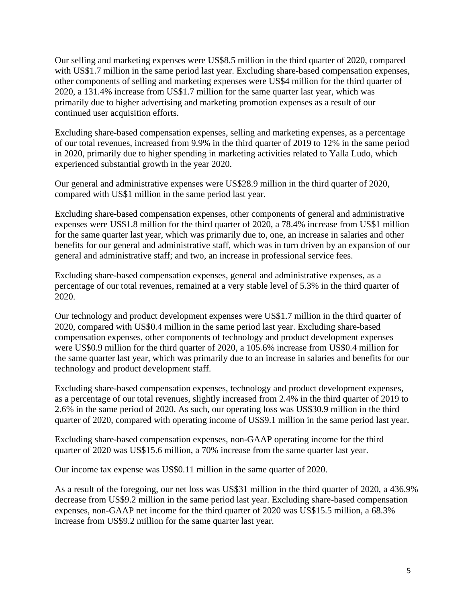Our selling and marketing expenses were US\$8.5 million in the third quarter of 2020, compared with US\$1.7 million in the same period last year. Excluding share-based compensation expenses, other components of selling and marketing expenses were US\$4 million for the third quarter of 2020, a 131.4% increase from US\$1.7 million for the same quarter last year, which was primarily due to higher advertising and marketing promotion expenses as a result of our continued user acquisition efforts.

Excluding share-based compensation expenses, selling and marketing expenses, as a percentage of our total revenues, increased from 9.9% in the third quarter of 2019 to 12% in the same period in 2020, primarily due to higher spending in marketing activities related to Yalla Ludo, which experienced substantial growth in the year 2020.

Our general and administrative expenses were US\$28.9 million in the third quarter of 2020, compared with US\$1 million in the same period last year.

Excluding share-based compensation expenses, other components of general and administrative expenses were US\$1.8 million for the third quarter of 2020, a 78.4% increase from US\$1 million for the same quarter last year, which was primarily due to, one, an increase in salaries and other benefits for our general and administrative staff, which was in turn driven by an expansion of our general and administrative staff; and two, an increase in professional service fees.

Excluding share-based compensation expenses, general and administrative expenses, as a percentage of our total revenues, remained at a very stable level of 5.3% in the third quarter of 2020.

Our technology and product development expenses were US\$1.7 million in the third quarter of 2020, compared with US\$0.4 million in the same period last year. Excluding share-based compensation expenses, other components of technology and product development expenses were US\$0.9 million for the third quarter of 2020, a 105.6% increase from US\$0.4 million for the same quarter last year, which was primarily due to an increase in salaries and benefits for our technology and product development staff.

Excluding share-based compensation expenses, technology and product development expenses, as a percentage of our total revenues, slightly increased from 2.4% in the third quarter of 2019 to 2.6% in the same period of 2020. As such, our operating loss was US\$30.9 million in the third quarter of 2020, compared with operating income of US\$9.1 million in the same period last year.

Excluding share-based compensation expenses, non-GAAP operating income for the third quarter of 2020 was US\$15.6 million, a 70% increase from the same quarter last year.

Our income tax expense was US\$0.11 million in the same quarter of 2020.

As a result of the foregoing, our net loss was US\$31 million in the third quarter of 2020, a 436.9% decrease from US\$9.2 million in the same period last year. Excluding share-based compensation expenses, non-GAAP net income for the third quarter of 2020 was US\$15.5 million, a 68.3% increase from US\$9.2 million for the same quarter last year.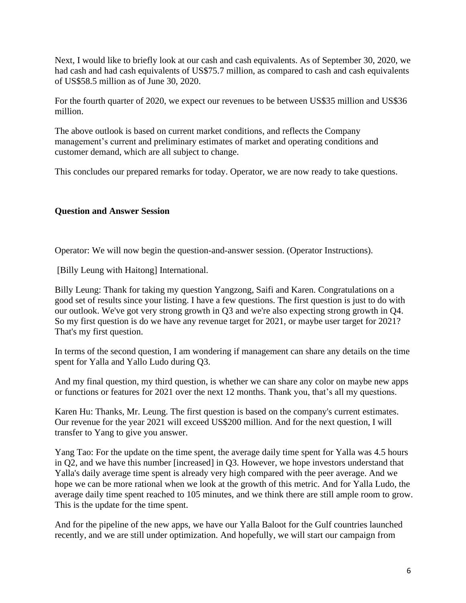Next, I would like to briefly look at our cash and cash equivalents. As of September 30, 2020, we had cash and had cash equivalents of US\$75.7 million, as compared to cash and cash equivalents of US\$58.5 million as of June 30, 2020.

For the fourth quarter of 2020, we expect our revenues to be between US\$35 million and US\$36 million.

The above outlook is based on current market conditions, and reflects the Company management's current and preliminary estimates of market and operating conditions and customer demand, which are all subject to change.

This concludes our prepared remarks for today. Operator, we are now ready to take questions.

## **Question and Answer Session**

Operator: We will now begin the question-and-answer session. (Operator Instructions).

[Billy Leung with Haitong] International.

Billy Leung: Thank for taking my question Yangzong, Saifi and Karen. Congratulations on a good set of results since your listing. I have a few questions. The first question is just to do with our outlook. We've got very strong growth in Q3 and we're also expecting strong growth in Q4. So my first question is do we have any revenue target for 2021, or maybe user target for 2021? That's my first question.

In terms of the second question, I am wondering if management can share any details on the time spent for Yalla and Yallo Ludo during Q3.

And my final question, my third question, is whether we can share any color on maybe new apps or functions or features for 2021 over the next 12 months. Thank you, that's all my questions.

Karen Hu: Thanks, Mr. Leung. The first question is based on the company's current estimates. Our revenue for the year 2021 will exceed US\$200 million. And for the next question, I will transfer to Yang to give you answer.

Yang Tao: For the update on the time spent, the average daily time spent for Yalla was 4.5 hours in Q2, and we have this number [increased] in Q3. However, we hope investors understand that Yalla's daily average time spent is already very high compared with the peer average. And we hope we can be more rational when we look at the growth of this metric. And for Yalla Ludo, the average daily time spent reached to 105 minutes, and we think there are still ample room to grow. This is the update for the time spent.

And for the pipeline of the new apps, we have our Yalla Baloot for the Gulf countries launched recently, and we are still under optimization. And hopefully, we will start our campaign from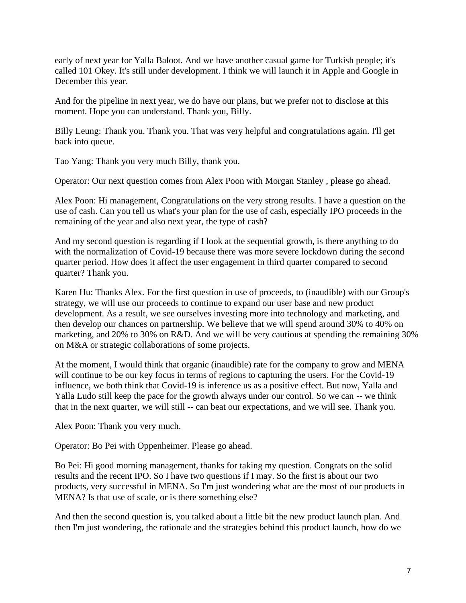early of next year for Yalla Baloot. And we have another casual game for Turkish people; it's called 101 Okey. It's still under development. I think we will launch it in Apple and Google in December this year.

And for the pipeline in next year, we do have our plans, but we prefer not to disclose at this moment. Hope you can understand. Thank you, Billy.

Billy Leung: Thank you. Thank you. That was very helpful and congratulations again. I'll get back into queue.

Tao Yang: Thank you very much Billy, thank you.

Operator: Our next question comes from Alex Poon with Morgan Stanley , please go ahead.

Alex Poon: Hi management, Congratulations on the very strong results. I have a question on the use of cash. Can you tell us what's your plan for the use of cash, especially IPO proceeds in the remaining of the year and also next year, the type of cash?

And my second question is regarding if I look at the sequential growth, is there anything to do with the normalization of Covid-19 because there was more severe lockdown during the second quarter period. How does it affect the user engagement in third quarter compared to second quarter? Thank you.

Karen Hu: Thanks Alex. For the first question in use of proceeds, to (inaudible) with our Group's strategy, we will use our proceeds to continue to expand our user base and new product development. As a result, we see ourselves investing more into technology and marketing, and then develop our chances on partnership. We believe that we will spend around 30% to 40% on marketing, and 20% to 30% on R&D. And we will be very cautious at spending the remaining 30% on M&A or strategic collaborations of some projects.

At the moment, I would think that organic (inaudible) rate for the company to grow and MENA will continue to be our key focus in terms of regions to capturing the users. For the Covid-19 influence, we both think that Covid-19 is inference us as a positive effect. But now, Yalla and Yalla Ludo still keep the pace for the growth always under our control. So we can -- we think that in the next quarter, we will still -- can beat our expectations, and we will see. Thank you.

Alex Poon: Thank you very much.

Operator: Bo Pei with Oppenheimer. Please go ahead.

Bo Pei: Hi good morning management, thanks for taking my question. Congrats on the solid results and the recent IPO. So I have two questions if I may. So the first is about our two products, very successful in MENA. So I'm just wondering what are the most of our products in MENA? Is that use of scale, or is there something else?

And then the second question is, you talked about a little bit the new product launch plan. And then I'm just wondering, the rationale and the strategies behind this product launch, how do we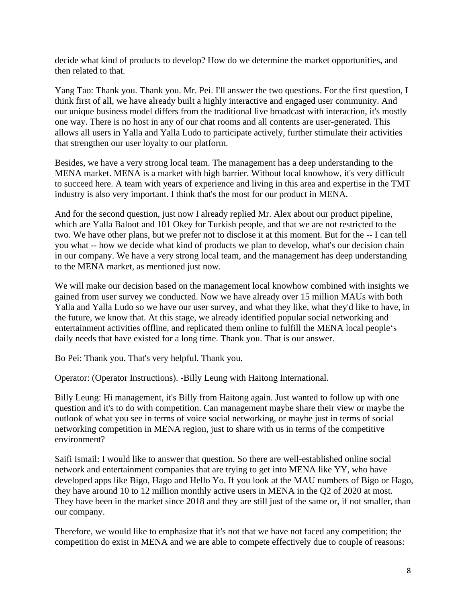decide what kind of products to develop? How do we determine the market opportunities, and then related to that.

Yang Tao: Thank you. Thank you. Mr. Pei. I'll answer the two questions. For the first question, I think first of all, we have already built a highly interactive and engaged user community. And our unique business model differs from the traditional live broadcast with interaction, it's mostly one way. There is no host in any of our chat rooms and all contents are user-generated. This allows all users in Yalla and Yalla Ludo to participate actively, further stimulate their activities that strengthen our user loyalty to our platform.

Besides, we have a very strong local team. The management has a deep understanding to the MENA market. MENA is a market with high barrier. Without local knowhow, it's very difficult to succeed here. A team with years of experience and living in this area and expertise in the TMT industry is also very important. I think that's the most for our product in MENA.

And for the second question, just now I already replied Mr. Alex about our product pipeline, which are Yalla Baloot and 101 Okey for Turkish people, and that we are not restricted to the two. We have other plans, but we prefer not to disclose it at this moment. But for the -- I can tell you what -- how we decide what kind of products we plan to develop, what's our decision chain in our company. We have a very strong local team, and the management has deep understanding to the MENA market, as mentioned just now.

We will make our decision based on the management local knowhow combined with insights we gained from user survey we conducted. Now we have already over 15 million MAUs with both Yalla and Yalla Ludo so we have our user survey, and what they like, what they'd like to have, in the future, we know that. At this stage, we already identified popular social networking and entertainment activities offline, and replicated them online to fulfill the MENA local people's daily needs that have existed for a long time. Thank you. That is our answer.

Bo Pei: Thank you. That's very helpful. Thank you.

Operator: (Operator Instructions). -Billy Leung with Haitong International.

Billy Leung: Hi management, it's Billy from Haitong again. Just wanted to follow up with one question and it's to do with competition. Can management maybe share their view or maybe the outlook of what you see in terms of voice social networking, or maybe just in terms of social networking competition in MENA region, just to share with us in terms of the competitive environment?

Saifi Ismail: I would like to answer that question. So there are well-established online social network and entertainment companies that are trying to get into MENA like YY, who have developed apps like Bigo, Hago and Hello Yo. If you look at the MAU numbers of Bigo or Hago, they have around 10 to 12 million monthly active users in MENA in the Q2 of 2020 at most. They have been in the market since 2018 and they are still just of the same or, if not smaller, than our company.

Therefore, we would like to emphasize that it's not that we have not faced any competition; the competition do exist in MENA and we are able to compete effectively due to couple of reasons: